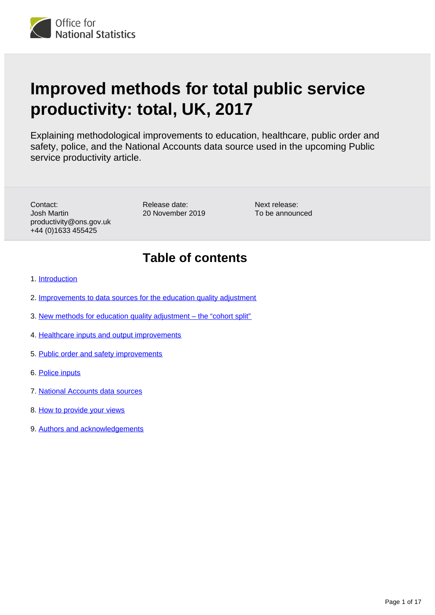# **Improved methods for total public service productivity: total, UK, 2017**

Explaining methodological improvements to education, healthcare, public order and safety, police, and the National Accounts data source used in the upcoming Public service productivity article.

Contact: Josh Martin productivity@ons.gov.uk +44 (0)1633 455425

Release date: 20 November 2019 Next release: To be announced

### **Table of contents**

- 1. [Introduction](#page-1-0)
- 2. [Improvements to data sources for the education quality adjustment](#page-1-1)
- 3. [New methods for education quality adjustment the "cohort split"](#page-10-0)
- 4. [Healthcare inputs and output improvements](#page-13-0)
- 5. [Public order and safety improvements](#page-14-0)
- 6. [Police inputs](#page-15-0)
- 7. [National Accounts data sources](#page-15-1)
- 8. [How to provide your views](#page-16-0)
- 9. [Authors and acknowledgements](#page-16-1)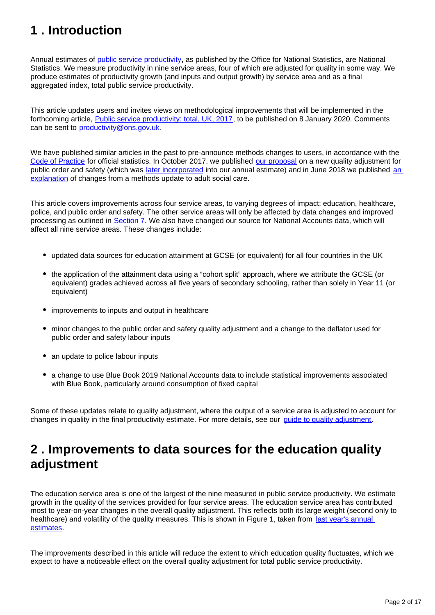# <span id="page-1-0"></span>**1 . Introduction**

Annual estimates of [public service productivity,](https://www.ons.gov.uk/economy/economicoutputandproductivity/publicservicesproductivity/articles/publicservicesproductivityestimatestotalpublicservices/latest) as published by the Office for National Statistics, are National Statistics. We measure productivity in nine service areas, four of which are adjusted for quality in some way. We produce estimates of productivity growth (and inputs and output growth) by service area and as a final aggregated index, total public service productivity.

This article updates users and invites views on methodological improvements that will be implemented in the forthcoming article, [Public service productivity: total, UK, 2017,](https://www.ons.gov.uk/releases/publicserviceproductivitytotaluk2017) to be published on 8 January 2020. Comments can be sent to productivity@ons.gov.uk.

We have published similar articles in the past to pre-announce methods changes to users, in accordance with the [Code of Practice](https://www.statisticsauthority.gov.uk/code-of-practice/the-code/) for official statistics. In October 2017, we published [our proposal](https://www.ons.gov.uk/economy/economicoutputandproductivity/publicservicesproductivity/articles/qualityadjustmentofpublicservicecriminaljusticesystemoutputexperimentalmethod/2017-10-06) on a new quality adjustment for public order and safety (which was [later incorporated](https://www.ons.gov.uk/economy/economicoutputandproductivity/publicservicesproductivity/methodologies/qualityadjustmentofpublicservicepublicorderandsafetyoutputcurrentmethod) into our annual estimate) and in June 2018 we published [an](https://www.ons.gov.uk/economy/economicoutputandproductivity/publicservicesproductivity/methodologies/incorporatingchangesintototalukpublicserviceproductivity)  [explanation](https://www.ons.gov.uk/economy/economicoutputandproductivity/publicservicesproductivity/methodologies/incorporatingchangesintototalukpublicserviceproductivity) of changes from a methods update to adult social care.

This article covers improvements across four service areas, to varying degrees of impact: education, healthcare, police, and public order and safety. The other service areas will only be affected by data changes and improved processing as outlined in [Section 7](https://publishing.ons.gov.uk/economy/economicoutputandproductivity/publicservicesproductivity/methodologies/improvedmethodsfortotalpublicserviceproductivitytotaluk2017#national-accounts-data-sources). We also have changed our source for National Accounts data, which will affect all nine service areas. These changes include:

- updated data sources for education attainment at GCSE (or equivalent) for all four countries in the UK
- the application of the attainment data using a "cohort split" approach, where we attribute the GCSE (or equivalent) grades achieved across all five years of secondary schooling, rather than solely in Year 11 (or equivalent)
- improvements to inputs and output in healthcare
- minor changes to the public order and safety quality adjustment and a change to the deflator used for public order and safety labour inputs
- an update to police labour inputs
- a change to use Blue Book 2019 National Accounts data to include statistical improvements associated with Blue Book, particularly around consumption of fixed capital

Some of these updates relate to quality adjustment, where the output of a service area is adjusted to account for changes in quality in the final productivity estimate. For more details, see our [guide to quality adjustment.](https://www.ons.gov.uk/economy/economicoutputandproductivity/publicservicesproductivity/articles/aguidetoqualityadjustmentinpublicserviceproductivitymeasures/2019-08-07)

### <span id="page-1-1"></span>**2 . Improvements to data sources for the education quality adjustment**

The education service area is one of the largest of the nine measured in public service productivity. We estimate growth in the quality of the services provided for four service areas. The education service area has contributed most to year-on-year changes in the overall quality adjustment. This reflects both its large weight (second only to healthcare) and volatility of the quality measures. This is shown in Figure 1, taken from last year's annual [estimates.](https://www.ons.gov.uk/economy/economicoutputandproductivity/publicservicesproductivity/articles/publicservicesproductivityestimatestotalpublicservices/2016)

The improvements described in this article will reduce the extent to which education quality fluctuates, which we expect to have a noticeable effect on the overall quality adjustment for total public service productivity.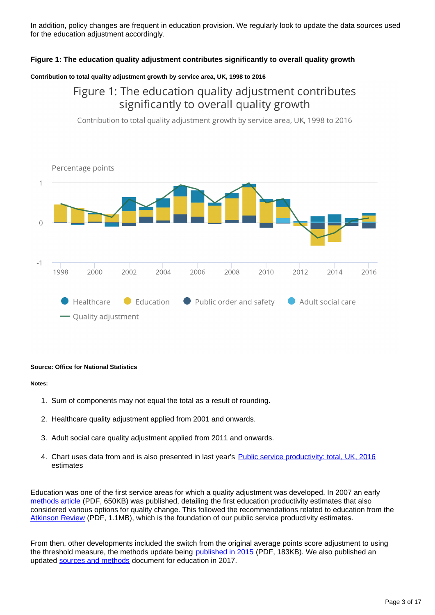In addition, policy changes are frequent in education provision. We regularly look to update the data sources used for the education adjustment accordingly.

#### **Figure 1: The education quality adjustment contributes significantly to overall quality growth**

#### **Contribution to total quality adjustment growth by service area, UK, 1998 to 2016**

### Figure 1: The education quality adjustment contributes significantly to overall quality growth

Contribution to total quality adjustment growth by service area, UK, 1998 to 2016



#### **Source: Office for National Statistics**

#### **Notes:**

- 1. Sum of components may not equal the total as a result of rounding.
- 2. Healthcare quality adjustment applied from 2001 and onwards.
- 3. Adult social care quality adjustment applied from 2011 and onwards.
- 4. Chart uses data from and is also presented in last year's [Public service productivity: total, UK, 2016](https://www.ons.gov.uk/economy/economicoutputandproductivity/publicservicesproductivity/articles/publicservicesproductivityestimatestotalpublicservices/2016) estimates

Education was one of the first service areas for which a quality adjustment was developed. In 2007 an early [methods article](https://webarchive.nationalarchives.gov.uk/20090302192733/http:/www.ons.gov.uk/about-statistics/ukcemga/publications-home/publications/archive/public-service-productivity--education.pdf) (PDF, 650KB) was published, detailing the first education productivity estimates that also considered various options for quality change. This followed the recommendations related to education from the [Atkinson Review](https://webarchive.nationalarchives.gov.uk/20160106223636/http:/www.ons.gov.uk/ons/guide-method/method-quality/specific/public-sector-methodology/articles/atkinson-review-final-report.pdf) (PDF, 1.1MB), which is the foundation of our public service productivity estimates.

From then, other developments included the switch from the original average points score adjustment to using the threshold measure, the methods update being [published in 2015](https://webarchive.nationalarchives.gov.uk/20160106223636/http:/www.ons.gov.uk/ons/guide-method/method-quality/specific/public-sector-methodology/articles/methods-change-in-public-service-productivity-estimates--education-2013.pdf) (PDF, 183KB). We also published an updated [sources and methods](https://www.ons.gov.uk/economy/economicoutputandproductivity/publicservicesproductivity/methodologies/sourcesandmethodspublicserviceproductivityestimateseducation) document for education in 2017.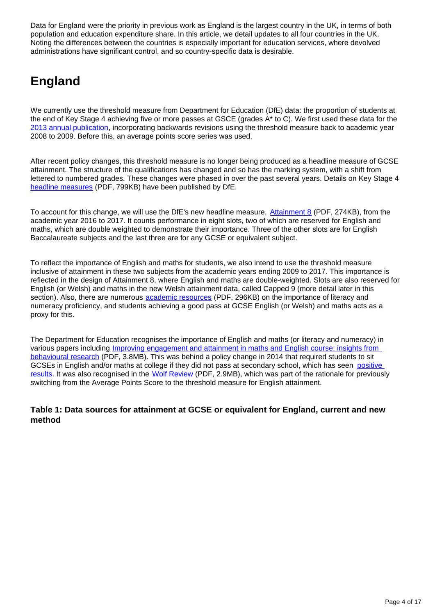Data for England were the priority in previous work as England is the largest country in the UK, in terms of both population and education expenditure share. In this article, we detail updates to all four countries in the UK. Noting the differences between the countries is especially important for education services, where devolved administrations have significant control, and so country-specific data is desirable.

# **England**

We currently use the threshold measure from Department for Education (DfE) data: the proportion of students at the end of Key Stage 4 achieving five or more passes at GSCE (grades A\* to C). We first used these data for the [2013 annual publication,](https://www.ons.gov.uk/economy/economicoutputandproductivity/publicservicesproductivity/articles/publicservicesproductivityestimatestotalpublicservices/totalpublicservice2013) incorporating backwards revisions using the threshold measure back to academic year 2008 to 2009. Before this, an average points score series was used.

After recent policy changes, this threshold measure is no longer being produced as a headline measure of GCSE attainment. The structure of the qualifications has changed and so has the marking system, with a shift from lettered to numbered grades. These changes were phased in over the past several years. Details on Key Stage 4 [headline measures](https://assets.publishing.service.gov.uk/government/uploads/system/uploads/attachment_data/file/840275/Secondary_accountability_measures_guidance__-_October_2019_final_with_ref.pdf) (PDF, 799KB) have been published by DfE.

To account for this change, we will use the DfE's new headline measure, **[Attainment 8](https://assets.publishing.service.gov.uk/government/uploads/system/uploads/attachment_data/file/561021/Progress_8_and_Attainment_8_how_measures_are_calculated.pdf)** (PDF, 274KB), from the academic year 2016 to 2017. It counts performance in eight slots, two of which are reserved for English and maths, which are double weighted to demonstrate their importance. Three of the other slots are for English Baccalaureate subjects and the last three are for any GCSE or equivalent subject.

To reflect the importance of English and maths for students, we also intend to use the threshold measure inclusive of attainment in these two subjects from the academic years ending 2009 to 2017. This importance is reflected in the design of Attainment 8, where English and maths are double-weighted. Slots are also reserved for English (or Welsh) and maths in the new Welsh attainment data, called Capped 9 (more detail later in this section). Also, there are numerous **academic resources** (PDF, 296KB) on the importance of literacy and numeracy proficiency, and students achieving a good pass at GCSE English (or Welsh) and maths acts as a proxy for this.

The Department for Education recognises the importance of English and maths (or literacy and numeracy) in various papers including [Improving engagement and attainment in maths and English course: insights from](https://assets.publishing.service.gov.uk/government/uploads/system/uploads/attachment_data/file/738028/Improving_engagement_and_attainment_in_maths_and_English-courses.pdf)  [behavioural research](https://assets.publishing.service.gov.uk/government/uploads/system/uploads/attachment_data/file/738028/Improving_engagement_and_attainment_in_maths_and_English-courses.pdf) (PDF, 3.8MB). This was behind a policy change in 2014 that required students to sit GCSEs in English and/or maths at college if they did not pass at secondary school, which has seen [positive](https://feweek.co.uk/2019/05/03/english-and-maths-gcse-resit-policy-helping-tens-of-thousands/)  [results.](https://feweek.co.uk/2019/05/03/english-and-maths-gcse-resit-policy-helping-tens-of-thousands/) It was also recognised in the [Wolf Review](https://assets.publishing.service.gov.uk/government/uploads/system/uploads/attachment_data/file/180504/DFE-00031-2011.pdf) (PDF, 2.9MB), which was part of the rationale for previously switching from the Average Points Score to the threshold measure for English attainment.

#### **Table 1: Data sources for attainment at GCSE or equivalent for England, current and new method**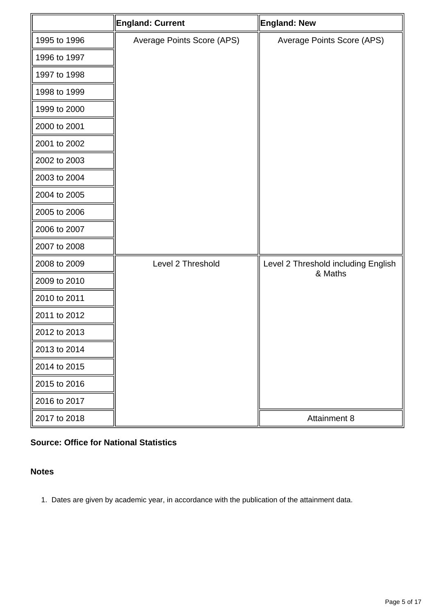|              | <b>England: Current</b>    | <b>England: New</b>                            |
|--------------|----------------------------|------------------------------------------------|
| 1995 to 1996 | Average Points Score (APS) | Average Points Score (APS)                     |
| 1996 to 1997 |                            |                                                |
| 1997 to 1998 |                            |                                                |
| 1998 to 1999 |                            |                                                |
| 1999 to 2000 |                            |                                                |
| 2000 to 2001 |                            |                                                |
| 2001 to 2002 |                            |                                                |
| 2002 to 2003 |                            |                                                |
| 2003 to 2004 |                            |                                                |
| 2004 to 2005 |                            |                                                |
| 2005 to 2006 |                            |                                                |
| 2006 to 2007 |                            |                                                |
| 2007 to 2008 |                            |                                                |
| 2008 to 2009 | Level 2 Threshold          | Level 2 Threshold including English<br>& Maths |
| 2009 to 2010 |                            |                                                |
| 2010 to 2011 |                            |                                                |
| 2011 to 2012 |                            |                                                |
| 2012 to 2013 |                            |                                                |
| 2013 to 2014 |                            |                                                |
| 2014 to 2015 |                            |                                                |
| 2015 to 2016 |                            |                                                |
| 2016 to 2017 |                            |                                                |
| 2017 to 2018 |                            | Attainment 8                                   |

### **Source: Office for National Statistics**

#### **Notes**

1. Dates are given by academic year, in accordance with the publication of the attainment data.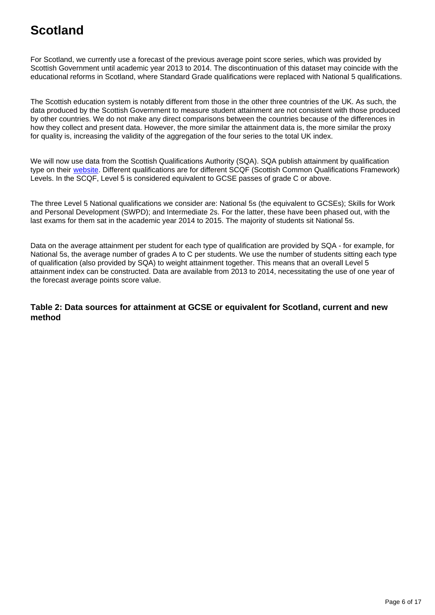# **Scotland**

For Scotland, we currently use a forecast of the previous average point score series, which was provided by Scottish Government until academic year 2013 to 2014. The discontinuation of this dataset may coincide with the educational reforms in Scotland, where Standard Grade qualifications were replaced with National 5 qualifications.

The Scottish education system is notably different from those in the other three countries of the UK. As such, the data produced by the Scottish Government to measure student attainment are not consistent with those produced by other countries. We do not make any direct comparisons between the countries because of the differences in how they collect and present data. However, the more similar the attainment data is, the more similar the proxy for quality is, increasing the validity of the aggregation of the four series to the total UK index.

We will now use data from the Scottish Qualifications Authority (SQA). SQA publish attainment by qualification type on their [website.](https://www.sqa.org.uk/sqa/57518.8313.html) Different qualifications are for different SCQF (Scottish Common Qualifications Framework) Levels. In the SCQF, Level 5 is considered equivalent to GCSE passes of grade C or above.

The three Level 5 National qualifications we consider are: National 5s (the equivalent to GCSEs); Skills for Work and Personal Development (SWPD); and Intermediate 2s. For the latter, these have been phased out, with the last exams for them sat in the academic year 2014 to 2015. The majority of students sit National 5s.

Data on the average attainment per student for each type of qualification are provided by SQA - for example, for National 5s, the average number of grades A to C per students. We use the number of students sitting each type of qualification (also provided by SQA) to weight attainment together. This means that an overall Level 5 attainment index can be constructed. Data are available from 2013 to 2014, necessitating the use of one year of the forecast average points score value.

#### **Table 2: Data sources for attainment at GCSE or equivalent for Scotland, current and new method**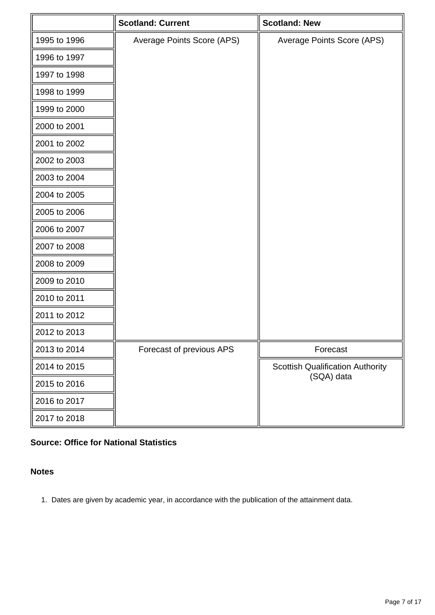|              | <b>Scotland: Current</b>   | <b>Scotland: New</b>                    |
|--------------|----------------------------|-----------------------------------------|
| 1995 to 1996 | Average Points Score (APS) | Average Points Score (APS)              |
| 1996 to 1997 |                            |                                         |
| 1997 to 1998 |                            |                                         |
| 1998 to 1999 |                            |                                         |
| 1999 to 2000 |                            |                                         |
| 2000 to 2001 |                            |                                         |
| 2001 to 2002 |                            |                                         |
| 2002 to 2003 |                            |                                         |
| 2003 to 2004 |                            |                                         |
| 2004 to 2005 |                            |                                         |
| 2005 to 2006 |                            |                                         |
| 2006 to 2007 |                            |                                         |
| 2007 to 2008 |                            |                                         |
| 2008 to 2009 |                            |                                         |
| 2009 to 2010 |                            |                                         |
| 2010 to 2011 |                            |                                         |
| 2011 to 2012 |                            |                                         |
| 2012 to 2013 |                            |                                         |
| 2013 to 2014 | Forecast of previous APS   | Forecast                                |
| 2014 to 2015 |                            | <b>Scottish Qualification Authority</b> |
| 2015 to 2016 |                            | (SQA) data                              |
| 2016 to 2017 |                            |                                         |
| 2017 to 2018 |                            |                                         |

### **Source: Office for National Statistics**

#### **Notes**

1. Dates are given by academic year, in accordance with the publication of the attainment data.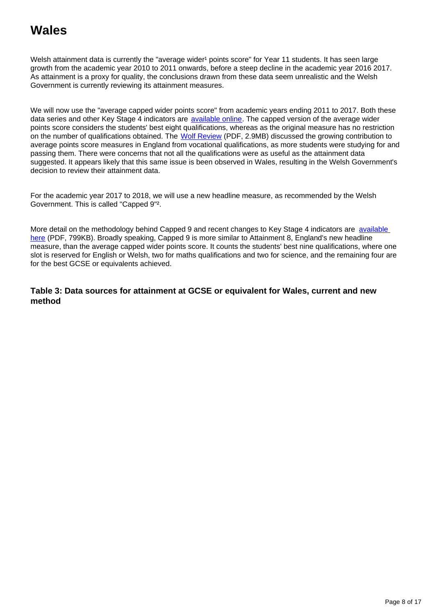## **Wales**

Welsh attainment data is currently the "average wider<sup>1</sup> points score" for Year 11 students. It has seen large growth from the academic year 2010 to 2011 onwards, before a steep decline in the academic year 2016 2017. As attainment is a proxy for quality, the conclusions drawn from these data seem unrealistic and the Welsh Government is currently reviewing its attainment measures.

We will now use the "average capped wider points score" from academic years ending 2011 to 2017. Both these data series and other Key Stage 4 indicators are [available online](https://gov.wales/examination-results). The capped version of the average wider points score considers the students' best eight qualifications, whereas as the original measure has no restriction on the number of qualifications obtained. The [Wolf Review](https://assets.publishing.service.gov.uk/government/uploads/system/uploads/attachment_data/file/180504/DFE-00031-2011.pdf) (PDF, 2.9MB) discussed the growing contribution to average points score measures in England from vocational qualifications, as more students were studying for and passing them. There were concerns that not all the qualifications were as useful as the attainment data suggested. It appears likely that this same issue is been observed in Wales, resulting in the Welsh Government's decision to review their attainment data.

For the academic year 2017 to 2018, we will use a new headline measure, as recommended by the Welsh Government. This is called "Capped 9"².

More detail on the methodology behind Capped 9 and recent changes to Key Stage 4 indicators are [available](https://gov.wales/sites/default/files/statistics-and-research/2019-10/examination-results-2018-19-provisional-054.pdf)  [here](https://gov.wales/sites/default/files/statistics-and-research/2019-10/examination-results-2018-19-provisional-054.pdf) (PDF, 799KB). Broadly speaking, Capped 9 is more similar to Attainment 8, England's new headline measure, than the average capped wider points score. It counts the students' best nine qualifications, where one slot is reserved for English or Welsh, two for maths qualifications and two for science, and the remaining four are for the best GCSE or equivalents achieved.

**Table 3: Data sources for attainment at GCSE or equivalent for Wales, current and new method**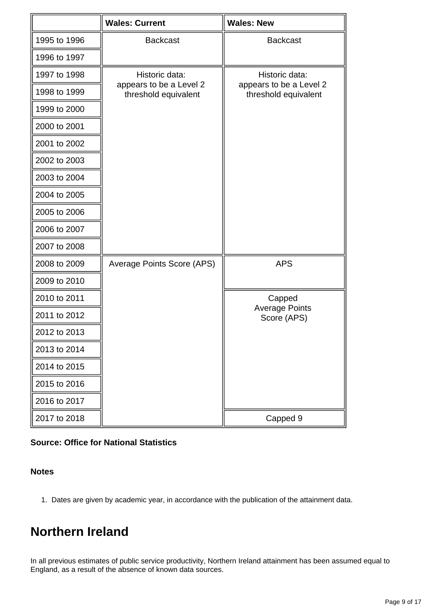|              | <b>Wales: Current</b>                                             | <b>Wales: New</b>                                                 |
|--------------|-------------------------------------------------------------------|-------------------------------------------------------------------|
| 1995 to 1996 | <b>Backcast</b>                                                   | <b>Backcast</b>                                                   |
| 1996 to 1997 |                                                                   |                                                                   |
| 1997 to 1998 | Historic data:<br>appears to be a Level 2<br>threshold equivalent | Historic data:<br>appears to be a Level 2<br>threshold equivalent |
| 1998 to 1999 |                                                                   |                                                                   |
| 1999 to 2000 |                                                                   |                                                                   |
| 2000 to 2001 |                                                                   |                                                                   |
| 2001 to 2002 |                                                                   |                                                                   |
| 2002 to 2003 |                                                                   |                                                                   |
| 2003 to 2004 |                                                                   |                                                                   |
| 2004 to 2005 |                                                                   |                                                                   |
| 2005 to 2006 |                                                                   |                                                                   |
| 2006 to 2007 |                                                                   |                                                                   |
| 2007 to 2008 |                                                                   |                                                                   |
| 2008 to 2009 | Average Points Score (APS)                                        | <b>APS</b>                                                        |
| 2009 to 2010 |                                                                   |                                                                   |
| 2010 to 2011 |                                                                   | Capped<br><b>Average Points</b><br>Score (APS)                    |
| 2011 to 2012 |                                                                   |                                                                   |
| 2012 to 2013 |                                                                   |                                                                   |
| 2013 to 2014 |                                                                   |                                                                   |
| 2014 to 2015 |                                                                   |                                                                   |
| 2015 to 2016 |                                                                   |                                                                   |
| 2016 to 2017 |                                                                   |                                                                   |
| 2017 to 2018 |                                                                   | Capped 9                                                          |

#### **Source: Office for National Statistics**

#### **Notes**

1. Dates are given by academic year, in accordance with the publication of the attainment data.

### **Northern Ireland**

In all previous estimates of public service productivity, Northern Ireland attainment has been assumed equal to England, as a result of the absence of known data sources.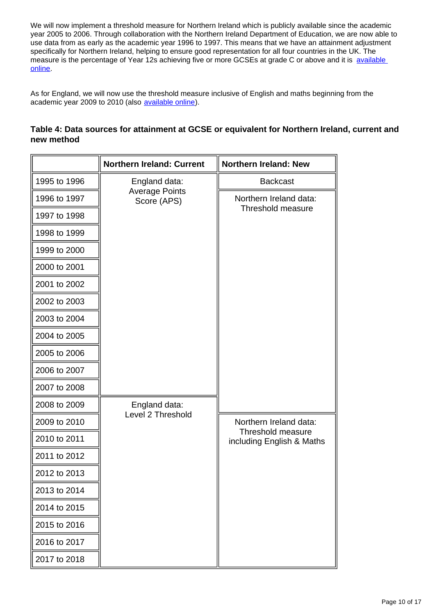We will now implement a threshold measure for Northern Ireland which is publicly available since the academic year 2005 to 2006. Through collaboration with the Northern Ireland Department of Education, we are now able to use data from as early as the academic year 1996 to 1997. This means that we have an attainment adjustment specifically for Northern Ireland, helping to ensure good representation for all four countries in the UK. The measure is the percentage of Year 12s achieving five or more GCSEs at grade C or above and it is available [online.](http://www.education-ni.gov.uk/articles/school-performance)

As for England, we will now use the threshold measure inclusive of English and maths beginning from the academic year 2009 to 2010 (also [available online](https://www.education-ni.gov.uk/articles/school-performance)).

#### **Table 4: Data sources for attainment at GCSE or equivalent for Northern Ireland, current and new method**

|              | <b>Northern Ireland: Current</b>                      | <b>Northern Ireland: New</b>                                             |
|--------------|-------------------------------------------------------|--------------------------------------------------------------------------|
| 1995 to 1996 | England data:<br><b>Average Points</b><br>Score (APS) | <b>Backcast</b>                                                          |
| 1996 to 1997 |                                                       | Northern Ireland data:<br>Threshold measure                              |
| 1997 to 1998 |                                                       |                                                                          |
| 1998 to 1999 |                                                       |                                                                          |
| 1999 to 2000 |                                                       |                                                                          |
| 2000 to 2001 |                                                       |                                                                          |
| 2001 to 2002 |                                                       |                                                                          |
| 2002 to 2003 |                                                       |                                                                          |
| 2003 to 2004 |                                                       |                                                                          |
| 2004 to 2005 |                                                       |                                                                          |
| 2005 to 2006 |                                                       |                                                                          |
| 2006 to 2007 |                                                       |                                                                          |
| 2007 to 2008 |                                                       |                                                                          |
| 2008 to 2009 | England data:                                         |                                                                          |
| 2009 to 2010 | Level 2 Threshold                                     | Northern Ireland data:<br>Threshold measure<br>including English & Maths |
| 2010 to 2011 |                                                       |                                                                          |
| 2011 to 2012 |                                                       |                                                                          |
| 2012 to 2013 |                                                       |                                                                          |
| 2013 to 2014 |                                                       |                                                                          |
| 2014 to 2015 |                                                       |                                                                          |
| 2015 to 2016 |                                                       |                                                                          |
| 2016 to 2017 |                                                       |                                                                          |
| 2017 to 2018 |                                                       |                                                                          |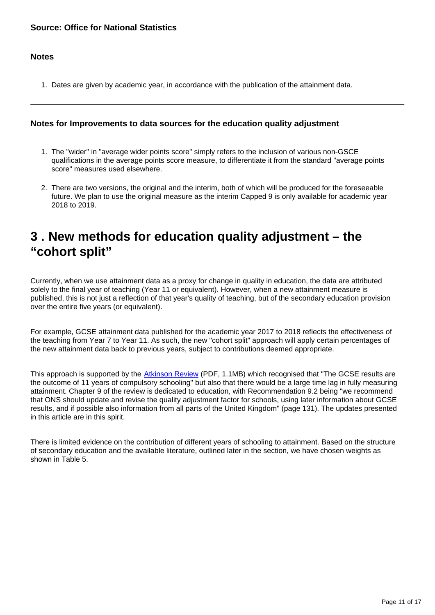#### **Notes**

1. Dates are given by academic year, in accordance with the publication of the attainment data.

#### **Notes for Improvements to data sources for the education quality adjustment**

- 1. The "wider" in "average wider points score" simply refers to the inclusion of various non-GSCE qualifications in the average points score measure, to differentiate it from the standard "average points score" measures used elsewhere.
- 2. There are two versions, the original and the interim, both of which will be produced for the foreseeable future. We plan to use the original measure as the interim Capped 9 is only available for academic year 2018 to 2019.

### <span id="page-10-0"></span>**3 . New methods for education quality adjustment – the "cohort split"**

Currently, when we use attainment data as a proxy for change in quality in education, the data are attributed solely to the final year of teaching (Year 11 or equivalent). However, when a new attainment measure is published, this is not just a reflection of that year's quality of teaching, but of the secondary education provision over the entire five years (or equivalent).

For example, GCSE attainment data published for the academic year 2017 to 2018 reflects the effectiveness of the teaching from Year 7 to Year 11. As such, the new "cohort split" approach will apply certain percentages of the new attainment data back to previous years, subject to contributions deemed appropriate.

This approach is supported by the **Atkinson Review** (PDF, 1.1MB) which recognised that "The GCSE results are the outcome of 11 years of compulsory schooling" but also that there would be a large time lag in fully measuring attainment. Chapter 9 of the review is dedicated to education, with Recommendation 9.2 being "we recommend that ONS should update and revise the quality adjustment factor for schools, using later information about GCSE results, and if possible also information from all parts of the United Kingdom" (page 131). The updates presented in this article are in this spirit.

There is limited evidence on the contribution of different years of schooling to attainment. Based on the structure of secondary education and the available literature, outlined later in the section, we have chosen weights as shown in Table 5.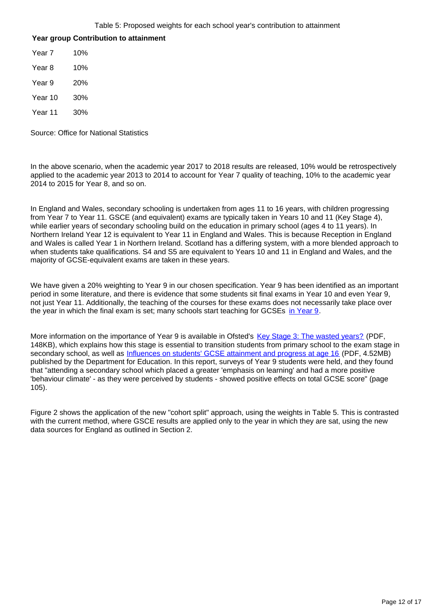#### **Year group Contribution to attainment**

Year 7 10% Year 8 10% Year 9 20% Year 10 30% Year 11 30%

Source: Office for National Statistics

In the above scenario, when the academic year 2017 to 2018 results are released, 10% would be retrospectively applied to the academic year 2013 to 2014 to account for Year 7 quality of teaching, 10% to the academic year 2014 to 2015 for Year 8, and so on.

In England and Wales, secondary schooling is undertaken from ages 11 to 16 years, with children progressing from Year 7 to Year 11. GSCE (and equivalent) exams are typically taken in Years 10 and 11 (Key Stage 4), while earlier years of secondary schooling build on the education in primary school (ages 4 to 11 years). In Northern Ireland Year 12 is equivalent to Year 11 in England and Wales. This is because Reception in England and Wales is called Year 1 in Northern Ireland. Scotland has a differing system, with a more blended approach to when students take qualifications. S4 and S5 are equivalent to Years 10 and 11 in England and Wales, and the majority of GCSE-equivalent exams are taken in these years.

We have given a 20% weighting to Year 9 in our chosen specification. Year 9 has been identified as an important period in some literature, and there is evidence that some students sit final exams in Year 10 and even Year 9, not just Year 11. Additionally, the teaching of the courses for these exams does not necessarily take place over the year in which the final exam is set; many schools start teaching for GCSEs in Year  $9$ .

More information on the importance of Year 9 is available in Ofsted's [Key Stage 3: The wasted years?](https://assets.publishing.service.gov.uk/government/uploads/system/uploads/attachment_data/file/459830/Key_Stage_3_the_wasted_years.pdf) (PDF, 148KB), which explains how this stage is essential to transition students from primary school to the exam stage in secondary school, as well as *[Influences on students' GCSE attainment and progress at age 16](https://dera.ioe.ac.uk/20875/1/RR352_-_Influences_on_Students_GCSE_Attainment_and_Progress_at_Age_16.pdf)* (PDF, 4.52MB) published by the Department for Education. In this report, surveys of Year 9 students were held, and they found that "attending a secondary school which placed a greater 'emphasis on learning' and had a more positive 'behaviour climate' - as they were perceived by students - showed positive effects on total GCSE score" (page 105).

Figure 2 shows the application of the new "cohort split" approach, using the weights in Table 5. This is contrasted with the current method, where GSCE results are applied only to the year in which they are sat, using the new data sources for England as outlined in Section 2.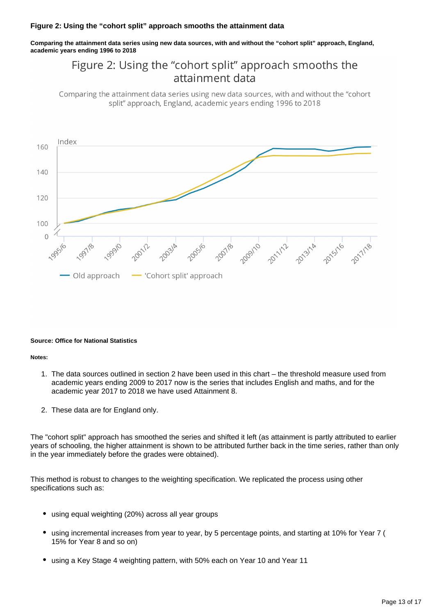#### **Figure 2: Using the "cohort split" approach smooths the attainment data**

**Comparing the attainment data series using new data sources, with and without the "cohort split" approach, England, academic years ending 1996 to 2018**

### Figure 2: Using the "cohort split" approach smooths the attainment data

Comparing the attainment data series using new data sources, with and without the "cohort" split" approach, England, academic years ending 1996 to 2018



#### **Source: Office for National Statistics**

#### **Notes:**

- 1. The data sources outlined in section 2 have been used in this chart the threshold measure used from academic years ending 2009 to 2017 now is the series that includes English and maths, and for the academic year 2017 to 2018 we have used Attainment 8.
- 2. These data are for England only.

The "cohort split" approach has smoothed the series and shifted it left (as attainment is partly attributed to earlier years of schooling, the higher attainment is shown to be attributed further back in the time series, rather than only in the year immediately before the grades were obtained).

This method is robust to changes to the weighting specification. We replicated the process using other specifications such as:

- using equal weighting (20%) across all year groups
- using incremental increases from year to year, by 5 percentage points, and starting at 10% for Year 7 ( 15% for Year 8 and so on)
- using a Key Stage 4 weighting pattern, with 50% each on Year 10 and Year 11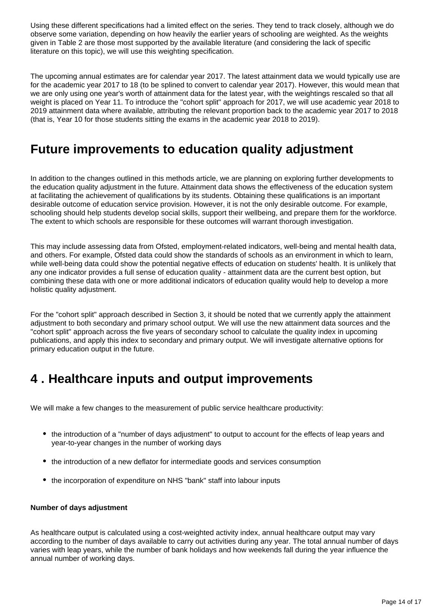Using these different specifications had a limited effect on the series. They tend to track closely, although we do observe some variation, depending on how heavily the earlier years of schooling are weighted. As the weights given in Table 2 are those most supported by the available literature (and considering the lack of specific literature on this topic), we will use this weighting specification.

The upcoming annual estimates are for calendar year 2017. The latest attainment data we would typically use are for the academic year 2017 to 18 (to be splined to convert to calendar year 2017). However, this would mean that we are only using one year's worth of attainment data for the latest year, with the weightings rescaled so that all weight is placed on Year 11. To introduce the "cohort split" approach for 2017, we will use academic year 2018 to 2019 attainment data where available, attributing the relevant proportion back to the academic year 2017 to 2018 (that is, Year 10 for those students sitting the exams in the academic year 2018 to 2019).

### **Future improvements to education quality adjustment**

In addition to the changes outlined in this methods article, we are planning on exploring further developments to the education quality adjustment in the future. Attainment data shows the effectiveness of the education system at facilitating the achievement of qualifications by its students. Obtaining these qualifications is an important desirable outcome of education service provision. However, it is not the only desirable outcome. For example, schooling should help students develop social skills, support their wellbeing, and prepare them for the workforce. The extent to which schools are responsible for these outcomes will warrant thorough investigation.

This may include assessing data from Ofsted, employment-related indicators, well-being and mental health data, and others. For example, Ofsted data could show the standards of schools as an environment in which to learn, while well-being data could show the potential negative effects of education on students' health. It is unlikely that any one indicator provides a full sense of education quality - attainment data are the current best option, but combining these data with one or more additional indicators of education quality would help to develop a more holistic quality adjustment.

For the "cohort split" approach described in Section 3, it should be noted that we currently apply the attainment adjustment to both secondary and primary school output. We will use the new attainment data sources and the "cohort split" approach across the five years of secondary school to calculate the quality index in upcoming publications, and apply this index to secondary and primary output. We will investigate alternative options for primary education output in the future.

### <span id="page-13-0"></span>**4 . Healthcare inputs and output improvements**

We will make a few changes to the measurement of public service healthcare productivity:

- the introduction of a "number of days adjustment" to output to account for the effects of leap years and year-to-year changes in the number of working days
- the introduction of a new deflator for intermediate goods and services consumption
- the incorporation of expenditure on NHS "bank" staff into labour inputs

#### **Number of days adjustment**

As healthcare output is calculated using a cost-weighted activity index, annual healthcare output may vary according to the number of days available to carry out activities during any year. The total annual number of days varies with leap years, while the number of bank holidays and how weekends fall during the year influence the annual number of working days.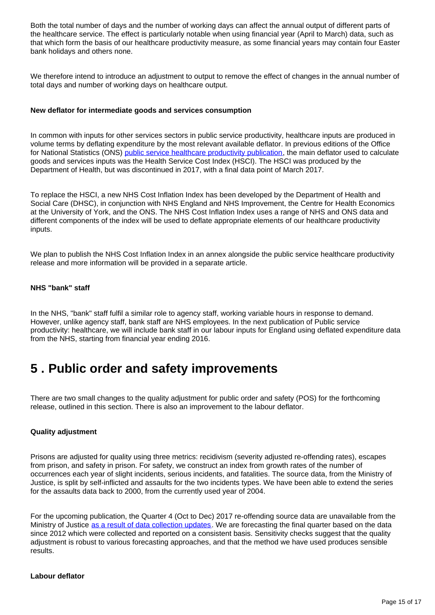Both the total number of days and the number of working days can affect the annual output of different parts of the healthcare service. The effect is particularly notable when using financial year (April to March) data, such as that which form the basis of our healthcare productivity measure, as some financial years may contain four Easter bank holidays and others none.

We therefore intend to introduce an adjustment to output to remove the effect of changes in the annual number of total days and number of working days on healthcare output.

#### **New deflator for intermediate goods and services consumption**

In common with inputs for other services sectors in public service productivity, healthcare inputs are produced in volume terms by deflating expenditure by the most relevant available deflator. In previous editions of the Office for National Statistics (ONS) [public service healthcare productivity publication](https://www.ons.gov.uk/economy/economicoutputandproductivity/publicservicesproductivity/articles/publicservicesproductivityestimateshealthcare/latest), the main deflator used to calculate goods and services inputs was the Health Service Cost Index (HSCI). The HSCI was produced by the Department of Health, but was discontinued in 2017, with a final data point of March 2017.

To replace the HSCI, a new NHS Cost Inflation Index has been developed by the Department of Health and Social Care (DHSC), in conjunction with NHS England and NHS Improvement, the Centre for Health Economics at the University of York, and the ONS. The NHS Cost Inflation Index uses a range of NHS and ONS data and different components of the index will be used to deflate appropriate elements of our healthcare productivity inputs.

We plan to publish the NHS Cost Inflation Index in an annex alongside the public service healthcare productivity release and more information will be provided in a separate article.

#### **NHS "bank" staff**

In the NHS, "bank" staff fulfil a similar role to agency staff, working variable hours in response to demand. However, unlike agency staff, bank staff are NHS employees. In the next publication of Public service productivity: healthcare, we will include bank staff in our labour inputs for England using deflated expenditure data from the NHS, starting from financial year ending 2016.

### <span id="page-14-0"></span>**5 . Public order and safety improvements**

There are two small changes to the quality adjustment for public order and safety (POS) for the forthcoming release, outlined in this section. There is also an improvement to the labour deflator.

#### **Quality adjustment**

Prisons are adjusted for quality using three metrics: recidivism (severity adjusted re-offending rates), escapes from prison, and safety in prison. For safety, we construct an index from growth rates of the number of occurrences each year of slight incidents, serious incidents, and fatalities. The source data, from the Ministry of Justice, is split by self-inflicted and assaults for the two incidents types. We have been able to extend the series for the assaults data back to 2000, from the currently used year of 2004.

For the upcoming publication, the Quarter 4 (Oct to Dec) 2017 re-offending source data are unavailable from the Ministry of Justice [as a result of data collection updates.](https://www.gov.uk/government/statistics/announcements/proven-reoffending-statistics-october-to-december-2017) We are forecasting the final quarter based on the data since 2012 which were collected and reported on a consistent basis. Sensitivity checks suggest that the quality adjustment is robust to various forecasting approaches, and that the method we have used produces sensible results.

#### **Labour deflator**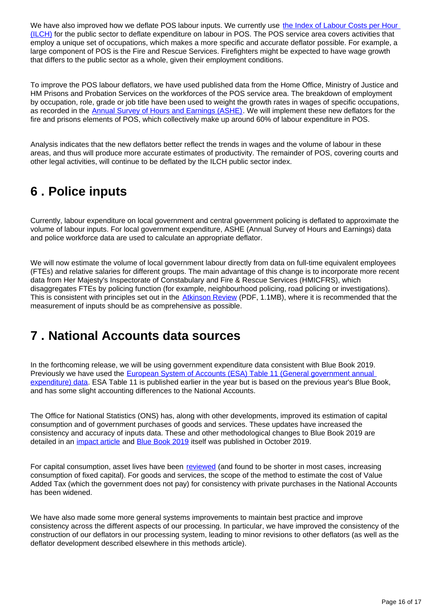We have also improved how we deflate POS labour inputs. We currently use the Index of Labour Costs per Hour [\(ILCH\)](https://www.ons.gov.uk/employmentandlabourmarket/peopleinwork/earningsandworkinghours/bulletins/indexoflabourcostsperhourilch/latest) for the public sector to deflate expenditure on labour in POS. The POS service area covers activities that employ a unique set of occupations, which makes a more specific and accurate deflator possible. For example, a large component of POS is the Fire and Rescue Services. Firefighters might be expected to have wage growth that differs to the public sector as a whole, given their employment conditions.

To improve the POS labour deflators, we have used published data from the Home Office, Ministry of Justice and HM Prisons and Probation Services on the workforces of the POS service area. The breakdown of employment by occupation, role, grade or job title have been used to weight the growth rates in wages of specific occupations, as recorded in the [Annual Survey of Hours and Earnings \(ASHE\)](http://www.ons.gov.uk/employmentandlabourmarket/peopleinwork/earningsandworkinghours). We will implement these new deflators for the fire and prisons elements of POS, which collectively make up around 60% of labour expenditure in POS.

Analysis indicates that the new deflators better reflect the trends in wages and the volume of labour in these areas, and thus will produce more accurate estimates of productivity. The remainder of POS, covering courts and other legal activities, will continue to be deflated by the ILCH public sector index.

# <span id="page-15-0"></span>**6 . Police inputs**

Currently, labour expenditure on local government and central government policing is deflated to approximate the volume of labour inputs. For local government expenditure, ASHE (Annual Survey of Hours and Earnings) data and police workforce data are used to calculate an appropriate deflator.

We will now estimate the volume of local government labour directly from data on full-time equivalent employees (FTEs) and relative salaries for different groups. The main advantage of this change is to incorporate more recent data from Her Majesty's Inspectorate of Constabulary and Fire & Rescue Services (HMICFRS), which disaggregates FTEs by policing function (for example, neighbourhood policing, road policing or investigations). This is consistent with principles set out in the [Atkinson Review](https://webarchive.nationalarchives.gov.uk/20160106223636/http:/www.ons.gov.uk/ons/guide-method/method-quality/specific/public-sector-methodology/articles/atkinson-review-final-report.pdf) (PDF, 1.1MB), where it is recommended that the measurement of inputs should be as comprehensive as possible.

### <span id="page-15-1"></span>**7 . National Accounts data sources**

In the forthcoming release, we will be using government expenditure data consistent with Blue Book 2019. Previously we have used the **European System of Accounts (ESA) Table 11 (General government annual** [expenditure\) data](https://www.ons.gov.uk/economy/governmentpublicsectorandtaxes/publicspending/datasets/esatable11annualexpenditureofgeneralgovernment). ESA Table 11 is published earlier in the year but is based on the previous year's Blue Book, and has some slight accounting differences to the National Accounts.

The Office for National Statistics (ONS) has, along with other developments, improved its estimation of capital consumption and of government purchases of goods and services. These updates have increased the consistency and accuracy of inputs data. These and other methodological changes to Blue Book 2019 are detailed in an *impact article* and **Blue Book 2019** itself was published in October 2019.

For capital consumption, asset lives have been [reviewed](https://www.ons.gov.uk/economy/nationalaccounts/uksectoraccounts/articles/nationalaccountsarticles/changestothecapitalstockestimationmethodsforbluebook2019) (and found to be shorter in most cases, increasing consumption of fixed capital). For goods and services, the scope of the method to estimate the cost of Value Added Tax (which the government does not pay) for consistency with private purchases in the National Accounts has been widened.

We have also made some more general systems improvements to maintain best practice and improve consistency across the different aspects of our processing. In particular, we have improved the consistency of the construction of our deflators in our processing system, leading to minor revisions to other deflators (as well as the deflator development described elsewhere in this methods article).